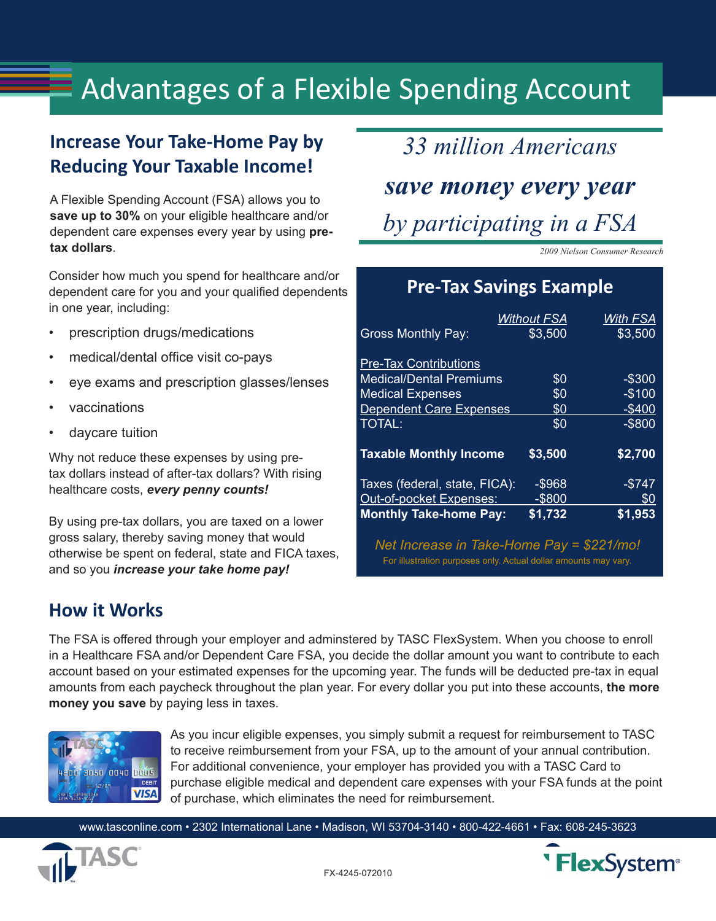# $\equiv$  Advantages of a Flexible Spending Account

## **Increase Your Take-Home Pay by Reducing Your Taxable Income!**

A Flexible Spending Account (FSA) allows you to **save up to 30%** on your eligible healthcare and/or dependent care expenses every year by using **pretax dollars**.

Consider how much you spend for healthcare and/or dependent care for you and your qualified dependents in one year, including:

- prescription drugs/medications
- medical/dental office visit co-pays
- eye exams and prescription glasses/lenses
- vaccinations
- daycare tuition

Why not reduce these expenses by using pretax dollars instead of after-tax dollars? With rising healthcare costs, *every penny counts!*

By using pre-tax dollars, you are taxed on a lower gross salary, thereby saving money that would otherwise be spent on federal, state and FICA taxes, and so you *increase your take home pay!* 

*33 million Americans save money every year by participating in a FSA*

*2009 Nielson Consumer Research*

#### **Pre-Tax Savings Example**

|                                | <b>Without FSA</b> | With FSA  |
|--------------------------------|--------------------|-----------|
| <b>Gross Monthly Pay:</b>      | \$3,500            | \$3,500   |
| <b>Pre-Tax Contributions</b>   |                    |           |
| <b>Medical/Dental Premiums</b> | \$0                | $-$ \$300 |
| <b>Medical Expenses</b>        | \$0                | $-$100$   |
| <b>Dependent Care Expenses</b> | \$0                | $-$400$   |
| <b>TOTAL:</b>                  | \$0                | $-$ \$800 |
| <b>Taxable Monthly Income</b>  | \$3,500            | \$2,700   |
| Taxes (federal, state, FICA):  | $-$ \$968          | $-$ \$747 |
| Out-of-pocket Expenses:        | $-$ \$800          | \$0       |
| <b>Monthly Take-home Pay:</b>  | \$1,732            | \$1,953   |

*Net Increase in Take-Home Pay = \$221/mo!* For illustration purposes only. Actual dollar amounts may vary.

#### **How it Works**

The FSA is offered through your employer and adminstered by TASC FlexSystem. When you choose to enroll in a Healthcare FSA and/or Dependent Care FSA, you decide the dollar amount you want to contribute to each account based on your estimated expenses for the upcoming year. The funds will be deducted pre-tax in equal amounts from each paycheck throughout the plan year. For every dollar you put into these accounts, **the more money you save** by paying less in taxes.



As you incur eligible expenses, you simply submit a request for reimbursement to TASC to receive reimbursement from your FSA, up to the amount of your annual contribution. For additional convenience, your employer has provided you with a TASC Card to purchase eligible medical and dependent care expenses with your FSA funds at the point of purchase, which eliminates the need for reimbursement.

www.tasconline.com • 2302 International Lane • Madison, WI 53704-3140 • 800-422-4661 • Fax: 608-245-3623



**FlexSystem®**